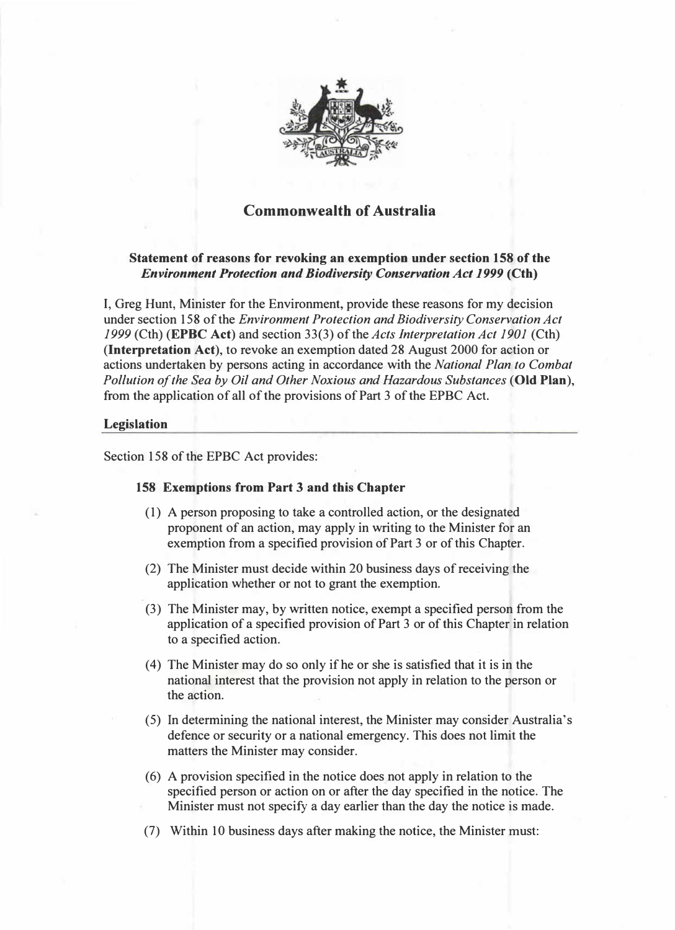

# Commonwealth of Australia

## Statement of reasons for revoking an exemption under section 158 of the Environment Protection and Biodiversity Conservation Act 1999 (Cth)

I, Greg Hunt, Minister for the Environment, provide these reasons for my decision under section 158 of the Environment Protection and Biodiversity Conservation Act <sup>1999</sup>(Cth) (EPBC Act) and section 33(3) of the Acts interpretation Act 1901 (Cth) (Interpretation Act), to revoke an exemption dated 28 August 2000 for action or actions undertaken by persons acting in accordance with the National Plan to Combat Pollution of the Sea by Oil and Other Noxious and Hazardous Substances (Old Plan), from the application of all of the provisions of Part 3 of the EPBC Act.

### Legislation

Section 158 of the EPBC Act provides:

#### 158 Exemptions from Part 3 and this Chapter

- (1) A person proposing to take a controlled action, or the designated proponent of an action, may apply in writing to the Minister for an exemption from a specified provision of Part 3 or of this Chapter.
- (2) The Minister must decide within 20 business days of receiving the application whether or not to grant the exemption.
- (3) The Minister may, by written notice, exempt a specified person from the application of a specified provision of Part 3 or of this Chapter in relation to a specified action.
- (4) The Minister may do so only if he or she is satisfied that it is in the national interest that the provision not apply in relation to the person or the action.
- (5) In determining the national interest, the Minister may consider Australia's defence or security or a national emergency. This does not limit the matters the Minister may consider.
- (6) A provision specified in the notice does not apply in relation to the specified person or action on or after the day specified in the notice. The Minister must not specify a day earlier than the day the notice is made.
- (7) Within 10 business days after making the notice, the Minister must: